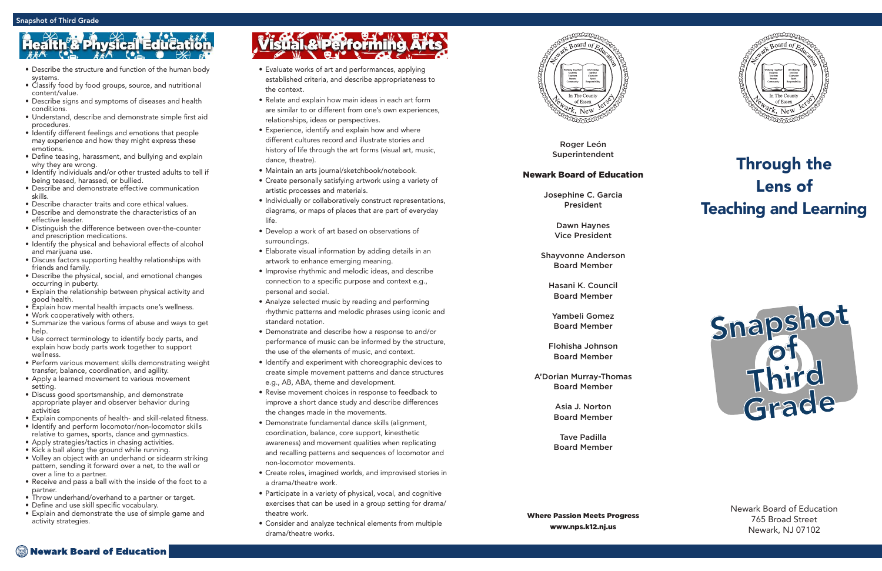Roger León Superintendent

#### Newark Board of Education

Josephine C. Garcia President

> Dawn Haynes Vice President

Shayvonne Anderson Board Member

Hasani K. Council Board Member

Yambeli Gomez Board Member

Flohisha Johnson Board Member

A'Dorian Murray-Thomas Board Member

> Asia J. Norton Board Member

> Tave Padilla Board Member

Where Passion Meets Progress www.nps.k12.nj.us



### Through the Lens of Teaching and Learning

Newark Board of Education 765 Broad Street Newark, NJ 07102

- Evaluate works of art and performances, applying established criteria, and describe appropriateness to the context.
- Relate and explain how main ideas in each art form are similar to or different from one's own experiences, relationships, ideas or perspectives.
- Experience, identify and explain how and where different cultures record and illustrate stories and history of life through the art forms (visual art, music, dance, theatre).
- Maintain an arts journal/sketchbook/notebook.
- Create personally satisfying artwork using a variety of artistic processes and materials.
- Individually or collaboratively construct representations, diagrams, or maps of places that are part of everyday life.
- Develop a work of art based on observations of surroundings.
- Elaborate visual information by adding details in an artwork to enhance emerging meaning.
- Improvise rhythmic and melodic ideas, and describe connection to a specific purpose and context e.g., personal and social.
- Analyze selected music by reading and performing rhythmic patterns and melodic phrases using iconic and standard notation.
- Demonstrate and describe how a response to and/or performance of music can be informed by the structure, the use of the elements of music, and context.
- Identify and experiment with choreographic devices to create simple movement patterns and dance structures e.g., AB, ABA, theme and development.
- Revise movement choices in response to feedback to improve a short dance study and describe differences the changes made in the movements.
- Demonstrate fundamental dance skills (alignment, coordination, balance, core support, kinesthetic awareness) and movement qualities when replicating and recalling patterns and sequences of locomotor and non-locomotor movements.
- Create roles, imagined worlds, and improvised stories in a drama/theatre work.
- Participate in a variety of physical, vocal, and cognitive exercises that can be used in a group setting for drama/ theatre work.
- Consider and analyze technical elements from multiple drama/theatre works.



## **Physical Educ**

- Describe the structure and function of the human body systems.
- Classify food by food groups, source, and nutritional content/value.
- Describe signs and symptoms of diseases and health conditions.
- Understand, describe and demonstrate simple first aid procedures.
- Identify different feelings and emotions that people may experience and how they might express these emotions.
- Define teasing, harassment, and bullying and explain why they are wrong.
- Identify individuals and/or other trusted adults to tell if being teased, harassed, or bullied.
- Describe and demonstrate effective communication skills.
- Describe character traits and core ethical values.
- Describe and demonstrate the characteristics of an effective leader.
- Distinguish the difference between over-the-counter and prescription medications.
- Identify the physical and behavioral effects of alcohol and marijuana use.
- Discuss factors supporting healthy relationships with friends and family.
- Describe the physical, social, and emotional changes occurring in puberty.
- Explain the relationship between physical activity and good health.
- Explain how mental health impacts one's wellness.<br>• Work cooperatively with others.
- 
- Summarize the various forms of abuse and ways to get help.
- Use correct terminology to identify body parts, and explain how body parts work together to support wellness.
- Perform various movement skills demonstrating weight transfer, balance, coordination, and agility.
- Apply a learned movement to various movement setting.
- Discuss good sportsmanship, and demonstrate appropriate player and observer behavior during activities
- Explain components of health- and skill-related fitness.
- Identify and perform locomotor/non-locomotor skills relative to games, sports, dance and gymnastics.<br>• Apply strategies/tactics in chasing activities.
- 
- Kick a ball along the ground while running.
- Volley an object with an underhand or sidearm striking pattern, sending it forward over a net, to the wall or over a line to a partner.
- Receive and pass a ball with the inside of the foot to a partner.
- Throw underhand/overhand to a partner or target.
- Define and use skill specific vocabulary.
- Explain and demonstrate the use of simple game and activity strategies.

# Visual & Performing